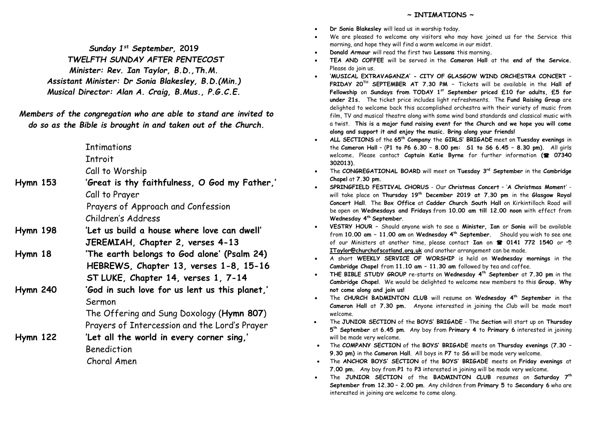*Sunday 1 st September,* **2019**  *TWELFTH SUNDAY AFTER PENTECOST Minister: Rev. Ian Taylor, B.D.,Th.M. Assistant Minister: Dr Sonia Blakesley, B.D.(Min.) Musical Director: Alan A. Craig, B.Mus., P.G.C.E.*

*Members of the congregation who are able to stand are invited to do so as the Bible is brought in and taken out of the Church.*

**Tntimations** 

**Tntroit** 

Call to Worship

**Hymn 153 'Great is thy faithfulness, O God my Father,'** Call to Prayer Prayers of Approach and Confession

Children's Address

- **Hymn 198 'Let us build a house where love can dwell' JEREMIAH, Chapter 2, verses 4-13**
- **Hymn 18 'The earth belongs to God alone' (Psalm 24) HEBREWS, Chapter 13, verses 1-8, 15-16 ST LUKE, Chapter 14, verses 1, 7-14**
- **Hymn 240 'God in such love for us lent us this planet,'** Sermon

The Offering and Sung Doxology (**Hymn 807**) Prayers of Intercession and the Lord's Prayer

**Hymn 122 'Let all the world in every corner sing,'** Benediction Choral Amen

- **~ INTIMATIONS ~**
- **Dr Sonia Blakesley** will lead us in worship today.
- We are pleased to welcome any visitors who may have joined us for the Service this morning, and hope they will find a warm welcome in our midst.
- **Donald Armour** will read the first two **Lessons** this morning**.**
- **TEA AND COFFEE** will be served in the **Cameron Hall** at the **end of the Service.**  Please do join us.
- **'MUSICAL EXTRAVAGANZA' - CITY OF GLASGOW WIND ORCHESTRA CONCERT – FRIDAY 20TH SEPTEMBER AT 7.30 PM –** Tickets will be available in the **Hall of Fellowship** on **Sundays from TODAY 1st September priced £10 for adults, £5 for under 21s.** The ticket price includes light refreshments. The **Fund Raising Group** are delighted to welcome back this accomplished orchestra with their variety of music from film, TV and musical theatre along with some wind band standards and classical music with a twist. **This is a major fund raising event for the Church and we hope you will come along and support it and enjoy the music. Bring along your friends!**
- **ALL SECTIONS** of the **65th Company** the **GIRLS' BRIGADE** meet on **Tuesday evenings** in the **Cameron Hall** – (**P1 to P6 6.30 – 8.00 pm: S1 to S6 6.45 – 8.30 pm).** All girls welcome**.** Please contact **Captain Katie Byrne** for further information **( 07340 302013).**
- The **CONGREGATIONAL BOARD** will meet on **Tuesday 3rd September** in the **Cambridge Chapel** at **7.30 pm.**
- **SPRINGFIELD FESTIVAL CHORUS** Our **Christmas Concert** '**A Christmas Momen**t' will take place on **Thursday 19th December 2019 at 7.30 pm** in the **Glasgow Royal Concert Hall**. The **Box Office** at **Cadder Church South Hall** on Kirkintilloch Road will be open on **Wednesdays and Fridays** from **10.00 am till 12.00 noon** with effect from **Wednesday 4th September**.
- **VESTRY HOUR –** Should anyone wish to see a **Minister, Ian** or **Sonia** will be available from **10.00 am – 11.00 am** on **Wednesday 4 th September.** Should you wish to see one of our Ministers at another time, please contact **Ian** on **0141 772 1540** or **[ITaylor@churchofscotland.org.uk](mailto:ITaylor@churchofscotland.org.uk)** and another arrangement can be made.
- A short **WEEKLY SERVICE OF WORSHIP** is held on **Wednesday mornings** in the **Cambridge Chapel** from **11.10 am – 11.30 am** followed by tea and coffee.
- **THE BIBLE STUDY GROUP** re-starts on **Wednesday 4th September** at **7.30 pm** in the **Cambridge Chapel**. We would be delighted to welcome new members to this **Group. Why not come along and join us!**
- The **CHURCH BADMINTON CLUB** will resume on **Wednesday 4th September** in the **Cameron Hall** at **7.30 pm.** Anyone interested in joining the Club will be made most welcome.
- The **JUNIOR SECTION** of the **BOYS' BRIGADE** The **Section** will start up on **Thursday 5 th September** at **6.45 pm**. Any boy from **Primary 4** to **Primary 6** interested in joining will be made very welcome.
- The **COMPANY SECTION** of the **BOYS' BRIGADE** meets on **Thursday evenings** (**7.30 – 9.30 pm)** in the **Cameron Hall**. All boys in **P7** to **S6** will be made very welcome.
- The **ANCHOR BOYS' SECTION** of the **BOYS' BRIGADE** meets on **Friday evenings** at **7.00 pm.** Any boy from **P1** to **P3** interested in joining will be made very welcome.
- The **JUNIOR SECTION** of the **BADMINTON CLUB** resumes on **Saturday 7th September from 12.30 – 2.00 pm**. Any children from **Primary 5** to **Secondary 6** who are interested in joining are welcome to come along.